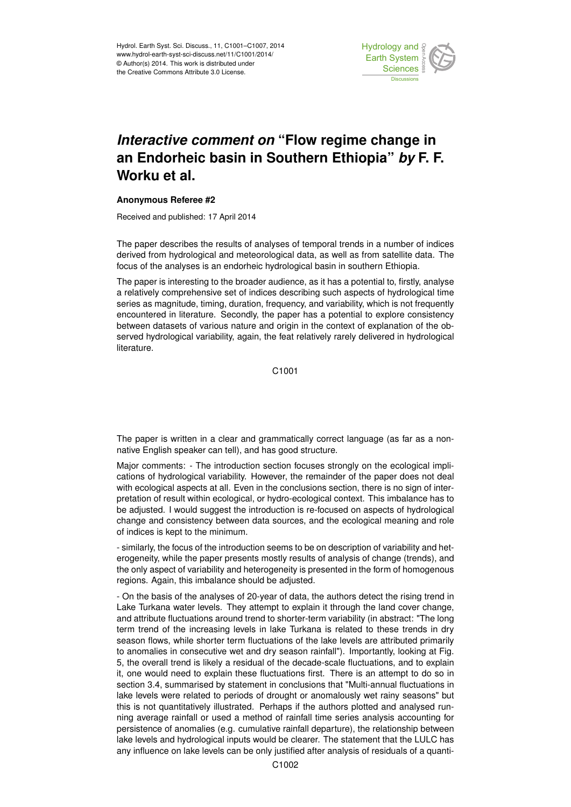

## *Interactive comment on* **"Flow regime change in an Endorheic basin in Southern Ethiopia"** *by* **F. F. Worku et al.**

## **Anonymous Referee #2**

Received and published: 17 April 2014

The paper describes the results of analyses of temporal trends in a number of indices derived from hydrological and meteorological data, as well as from satellite data. The focus of the analyses is an endorheic hydrological basin in southern Ethiopia.

The paper is interesting to the broader audience, as it has a potential to, firstly, analyse a relatively comprehensive set of indices describing such aspects of hydrological time series as magnitude, timing, duration, frequency, and variability, which is not frequently encountered in literature. Secondly, the paper has a potential to explore consistency between datasets of various nature and origin in the context of explanation of the observed hydrological variability, again, the feat relatively rarely delivered in hydrological literature.

C1001

The paper is written in a clear and grammatically correct language (as far as a nonnative English speaker can tell), and has good structure.

Major comments: - The introduction section focuses strongly on the ecological implications of hydrological variability. However, the remainder of the paper does not deal with ecological aspects at all. Even in the conclusions section, there is no sign of interpretation of result within ecological, or hydro-ecological context. This imbalance has to be adjusted. I would suggest the introduction is re-focused on aspects of hydrological change and consistency between data sources, and the ecological meaning and role of indices is kept to the minimum.

- similarly, the focus of the introduction seems to be on description of variability and heterogeneity, while the paper presents mostly results of analysis of change (trends), and the only aspect of variability and heterogeneity is presented in the form of homogenous regions. Again, this imbalance should be adjusted.

- On the basis of the analyses of 20-year of data, the authors detect the rising trend in Lake Turkana water levels. They attempt to explain it through the land cover change, and attribute fluctuations around trend to shorter-term variability (in abstract: "The long term trend of the increasing levels in lake Turkana is related to these trends in dry season flows, while shorter term fluctuations of the lake levels are attributed primarily to anomalies in consecutive wet and dry season rainfall"). Importantly, looking at Fig. 5, the overall trend is likely a residual of the decade-scale fluctuations, and to explain it, one would need to explain these fluctuations first. There is an attempt to do so in section 3.4, summarised by statement in conclusions that "Multi-annual fluctuations in lake levels were related to periods of drought or anomalously wet rainy seasons" but this is not quantitatively illustrated. Perhaps if the authors plotted and analysed running average rainfall or used a method of rainfall time series analysis accounting for persistence of anomalies (e.g. cumulative rainfall departure), the relationship between lake levels and hydrological inputs would be clearer. The statement that the LULC has any influence on lake levels can be only justified after analysis of residuals of a quanti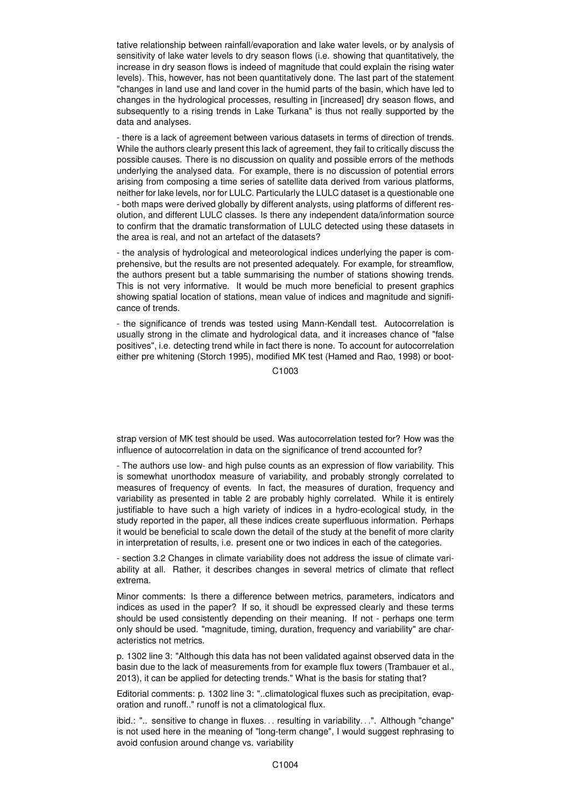tative relationship between rainfall/evaporation and lake water levels, or by analysis of sensitivity of lake water levels to dry season flows (i.e. showing that quantitatively, the increase in dry season flows is indeed of magnitude that could explain the rising water levels). This, however, has not been quantitatively done. The last part of the statement "changes in land use and land cover in the humid parts of the basin, which have led to changes in the hydrological processes, resulting in [increased] dry season flows, and subsequently to a rising trends in Lake Turkana" is thus not really supported by the data and analyses.

- there is a lack of agreement between various datasets in terms of direction of trends. While the authors clearly present this lack of agreement, they fail to critically discuss the possible causes. There is no discussion on quality and possible errors of the methods underlying the analysed data. For example, there is no discussion of potential errors arising from composing a time series of satellite data derived from various platforms, neither for lake levels, nor for LULC. Particularly the LULC dataset is a questionable one - both maps were derived globally by different analysts, using platforms of different resolution, and different LULC classes. Is there any independent data/information source to confirm that the dramatic transformation of LULC detected using these datasets in the area is real, and not an artefact of the datasets?

- the analysis of hydrological and meteorological indices underlying the paper is comprehensive, but the results are not presented adequately. For example, for streamflow, the authors present but a table summarising the number of stations showing trends. This is not very informative. It would be much more beneficial to present graphics showing spatial location of stations, mean value of indices and magnitude and significance of trends.

- the significance of trends was tested using Mann-Kendall test. Autocorrelation is usually strong in the climate and hydrological data, and it increases chance of "false positives", i.e. detecting trend while in fact there is none. To account for autocorrelation either pre whitening (Storch 1995), modified MK test (Hamed and Rao, 1998) or boot-

C1003

strap version of MK test should be used. Was autocorrelation tested for? How was the influence of autocorrelation in data on the significance of trend accounted for?

- The authors use low- and high pulse counts as an expression of flow variability. This is somewhat unorthodox measure of variability, and probably strongly correlated to measures of frequency of events. In fact, the measures of duration, frequency and variability as presented in table 2 are probably highly correlated. While it is entirely justifiable to have such a high variety of indices in a hydro-ecological study, in the study reported in the paper, all these indices create superfluous information. Perhaps it would be beneficial to scale down the detail of the study at the benefit of more clarity in interpretation of results, i.e. present one or two indices in each of the categories.

- section 3.2 Changes in climate variability does not address the issue of climate variability at all. Rather, it describes changes in several metrics of climate that reflect extrema.

Minor comments: Is there a difference between metrics, parameters, indicators and indices as used in the paper? If so, it shoudl be expressed clearly and these terms should be used consistently depending on their meaning. If not - perhaps one term only should be used. "magnitude, timing, duration, frequency and variability" are characteristics not metrics.

p. 1302 line 3: "Although this data has not been validated against observed data in the basin due to the lack of measurements from for example flux towers (Trambauer et al., 2013), it can be applied for detecting trends." What is the basis for stating that?

Editorial comments: p. 1302 line 3: "..climatological fluxes such as precipitation, evaporation and runoff.." runoff is not a climatological flux.

ibid.: ".. sensitive to change in fluxes. . . resulting in variability. . .". Although "change" is not used here in the meaning of "long-term change", I would suggest rephrasing to avoid confusion around change vs. variability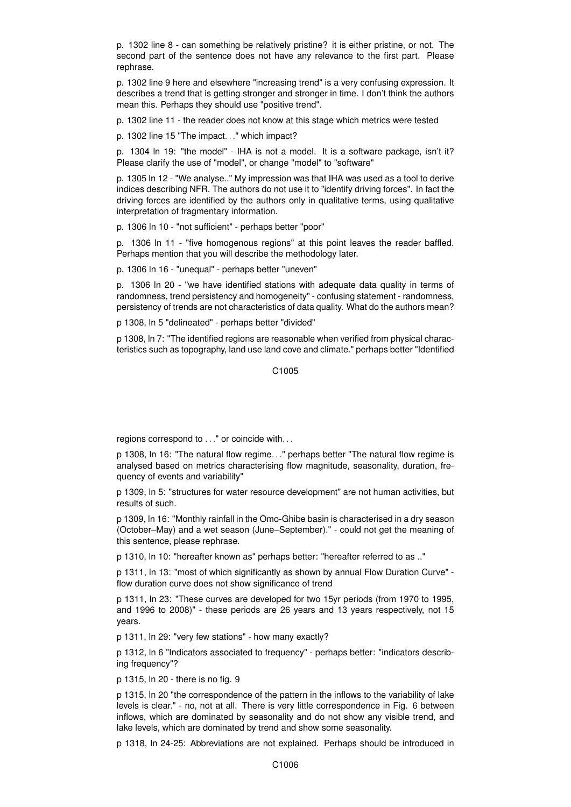p. 1302 line 8 - can something be relatively pristine? it is either pristine, or not. The second part of the sentence does not have any relevance to the first part. Please rephrase.

p. 1302 line 9 here and elsewhere "increasing trend" is a very confusing expression. It describes a trend that is getting stronger and stronger in time. I don't think the authors mean this. Perhaps they should use "positive trend".

p. 1302 line 11 - the reader does not know at this stage which metrics were tested

p. 1302 line 15 "The impact. . ." which impact?

p. 1304 ln 19: "the model" - IHA is not a model. It is a software package, isn't it? Please clarify the use of "model", or change "model" to "software"

p. 1305 ln 12 - "We analyse.." My impression was that IHA was used as a tool to derive indices describing NFR. The authors do not use it to "identify driving forces". In fact the driving forces are identified by the authors only in qualitative terms, using qualitative interpretation of fragmentary information.

p. 1306 ln 10 - "not sufficient" - perhaps better "poor"

p. 1306 ln 11 - "five homogenous regions" at this point leaves the reader baffled. Perhaps mention that you will describe the methodology later.

p. 1306 ln 16 - "unequal" - perhaps better "uneven"

p. 1306 ln 20 - "we have identified stations with adequate data quality in terms of randomness, trend persistency and homogeneity" - confusing statement - randomness, persistency of trends are not characteristics of data quality. What do the authors mean?

p 1308, ln 5 "delineated" - perhaps better "divided"

p 1308, ln 7: "The identified regions are reasonable when verified from physical characteristics such as topography, land use land cove and climate." perhaps better "Identified

C<sub>1005</sub>

regions correspond to . . ." or coincide with. . .

p 1308, ln 16: "The natural flow regime. . ." perhaps better "The natural flow regime is analysed based on metrics characterising flow magnitude, seasonality, duration, frequency of events and variability"

p 1309, ln 5: "structures for water resource development" are not human activities, but results of such.

p 1309, ln 16: "Monthly rainfall in the Omo-Ghibe basin is characterised in a dry season (October–May) and a wet season (June–September)." - could not get the meaning of this sentence, please rephrase.

p 1310, ln 10: "hereafter known as" perhaps better: "hereafter referred to as .."

p 1311, ln 13: "most of which significantly as shown by annual Flow Duration Curve" flow duration curve does not show significance of trend

p 1311, ln 23: "These curves are developed for two 15yr periods (from 1970 to 1995, and 1996 to 2008)" - these periods are 26 years and 13 years respectively, not 15 years.

p 1311, ln 29: "very few stations" - how many exactly?

p 1312, ln 6 "Indicators associated to frequency" - perhaps better: "indicators describing frequency"?

p 1315, ln 20 - there is no fig. 9

p 1315, ln 20 "the correspondence of the pattern in the inflows to the variability of lake levels is clear." - no, not at all. There is very little correspondence in Fig. 6 between inflows, which are dominated by seasonality and do not show any visible trend, and lake levels, which are dominated by trend and show some seasonality.

p 1318, ln 24-25: Abbreviations are not explained. Perhaps should be introduced in